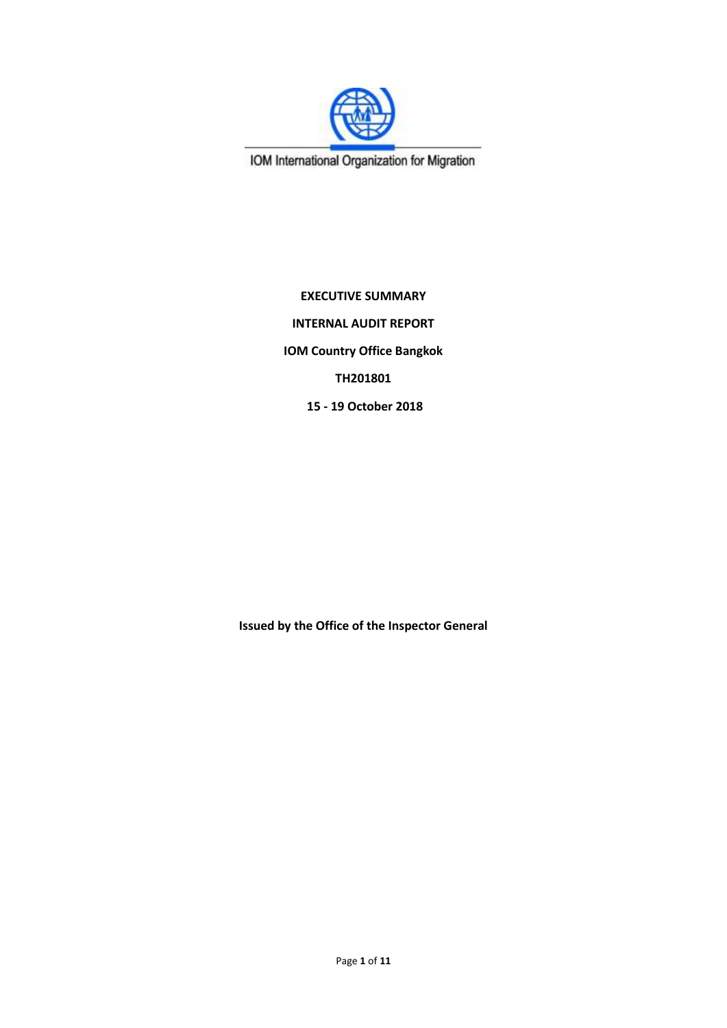

IOM International Organization for Migration

**EXECUTIVE SUMMARY INTERNAL AUDIT REPORT IOM Country Office Bangkok TH201801 15 - 19 October 2018**

**Issued by the Office of the Inspector General**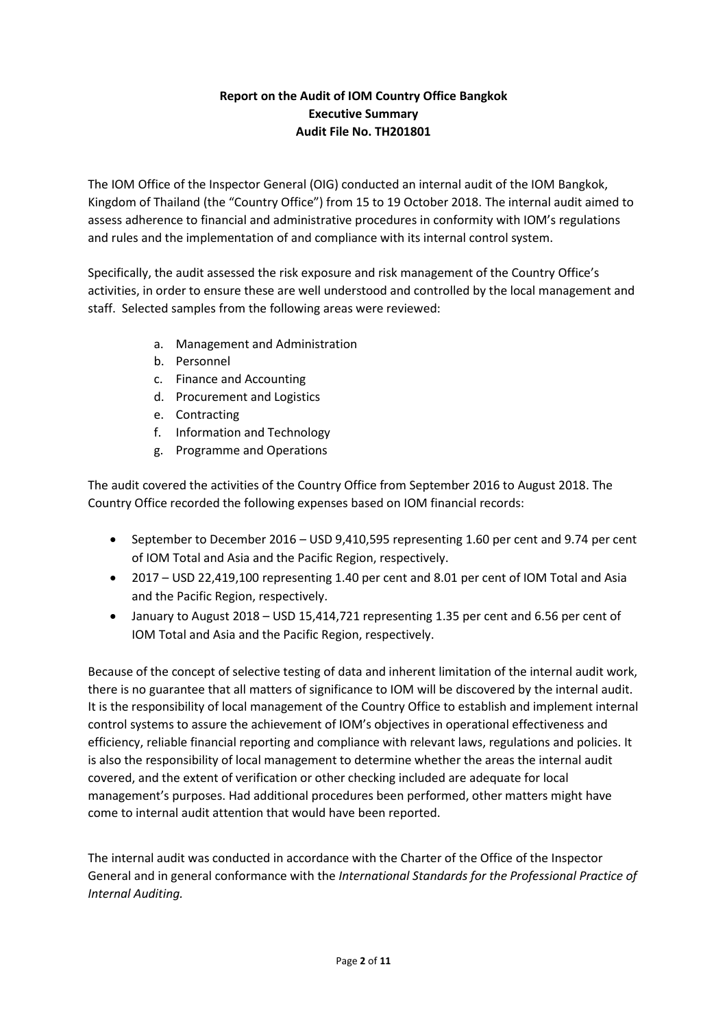# **Report on the Audit of IOM Country Office Bangkok Executive Summary Audit File No. TH201801**

The IOM Office of the Inspector General (OIG) conducted an internal audit of the IOM Bangkok, Kingdom of Thailand (the "Country Office") from 15 to 19 October 2018. The internal audit aimed to assess adherence to financial and administrative procedures in conformity with IOM's regulations and rules and the implementation of and compliance with its internal control system.

Specifically, the audit assessed the risk exposure and risk management of the Country Office's activities, in order to ensure these are well understood and controlled by the local management and staff. Selected samples from the following areas were reviewed:

- a. Management and Administration
- b. Personnel
- c. Finance and Accounting
- d. Procurement and Logistics
- e. Contracting
- f. Information and Technology
- g. Programme and Operations

The audit covered the activities of the Country Office from September 2016 to August 2018. The Country Office recorded the following expenses based on IOM financial records:

- September to December 2016 USD 9,410,595 representing 1.60 per cent and 9.74 per cent of IOM Total and Asia and the Pacific Region, respectively.
- 2017 USD 22,419,100 representing 1.40 per cent and 8.01 per cent of IOM Total and Asia and the Pacific Region, respectively.
- January to August 2018 USD 15,414,721 representing 1.35 per cent and 6.56 per cent of IOM Total and Asia and the Pacific Region, respectively.

Because of the concept of selective testing of data and inherent limitation of the internal audit work, there is no guarantee that all matters of significance to IOM will be discovered by the internal audit. It is the responsibility of local management of the Country Office to establish and implement internal control systems to assure the achievement of IOM's objectives in operational effectiveness and efficiency, reliable financial reporting and compliance with relevant laws, regulations and policies. It is also the responsibility of local management to determine whether the areas the internal audit covered, and the extent of verification or other checking included are adequate for local management's purposes. Had additional procedures been performed, other matters might have come to internal audit attention that would have been reported.

The internal audit was conducted in accordance with the Charter of the Office of the Inspector General and in general conformance with the *International Standards for the Professional Practice of Internal Auditing.*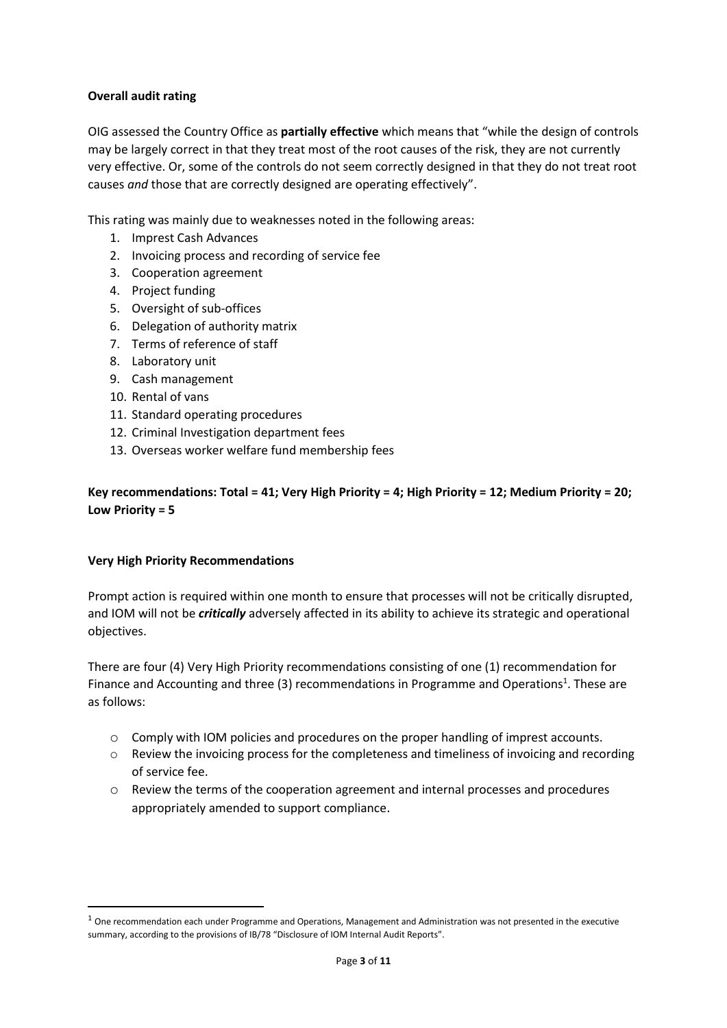### **Overall audit rating**

OIG assessed the Country Office as **partially effective** which means that "while the design of controls may be largely correct in that they treat most of the root causes of the risk, they are not currently very effective. Or, some of the controls do not seem correctly designed in that they do not treat root causes *and* those that are correctly designed are operating effectively".

This rating was mainly due to weaknesses noted in the following areas:

- 1. Imprest Cash Advances
- 2. Invoicing process and recording of service fee
- 3. Cooperation agreement
- 4. Project funding
- 5. Oversight of sub-offices
- 6. Delegation of authority matrix
- 7. Terms of reference of staff
- 8. Laboratory unit
- 9. Cash management
- 10. Rental of vans
- 11. Standard operating procedures
- 12. Criminal Investigation department fees
- 13. Overseas worker welfare fund membership fees

**Key recommendations: Total = 41; Very High Priority = 4; High Priority = 12; Medium Priority = 20; Low Priority = 5**

#### **Very High Priority Recommendations**

**.** 

Prompt action is required within one month to ensure that processes will not be critically disrupted, and IOM will not be *critically* adversely affected in its ability to achieve its strategic and operational objectives.

There are four (4) Very High Priority recommendations consisting of one (1) recommendation for Finance and Accounting and three (3) recommendations in Programme and Operations<sup>1</sup>. These are as follows:

- <span id="page-2-0"></span>o Comply with IOM policies and procedures on the proper handling of imprest accounts.
- o Review the invoicing process for the completeness and timeliness of invoicing and recording of service fee.
- o Review the terms of the cooperation agreement and internal processes and procedures appropriately amended to support compliance.

 $1$  One recommendation each under Programme and Operations, Management and Administration was not presented in the executive summary, according to the provisions of IB/78 "Disclosure of IOM Internal Audit Reports".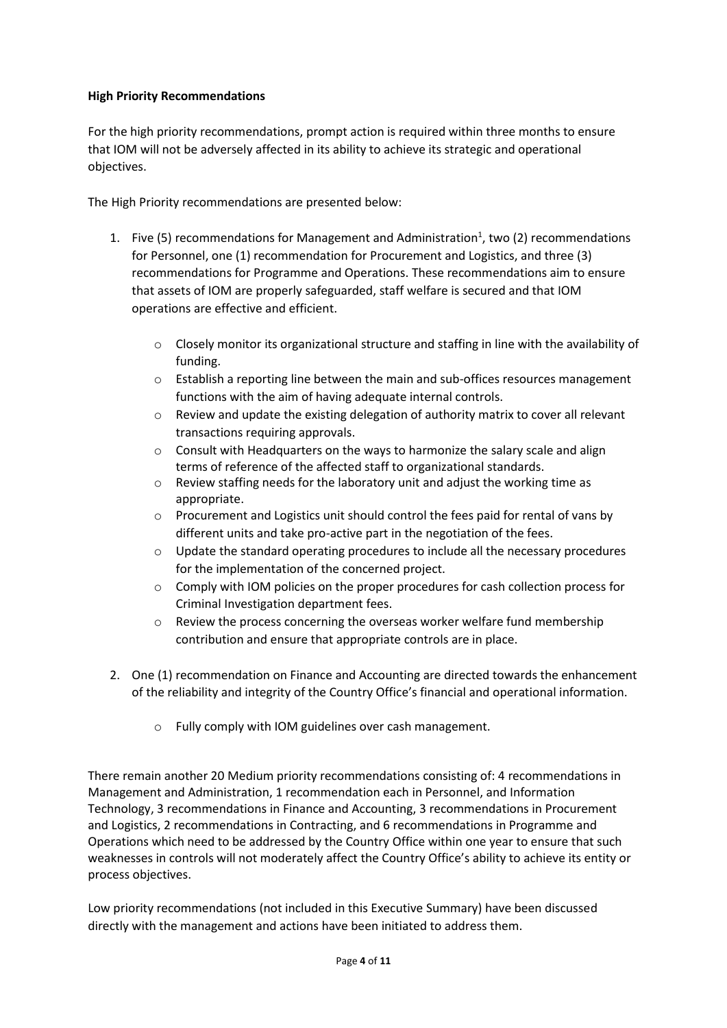### **High Priority Recommendations**

For the high priority recommendations, prompt action is required within three months to ensure that IOM will not be adversely affected in its ability to achieve its strategic and operational objectives.

The High Priority recommendations are presented below:

- 1. Five (5) recomme[n](#page-2-0)dations for Management and Administration<sup>1</sup>, two (2) recommendations for Personnel, one (1) recommendation for Procurement and Logistics, and three (3) recommendations for Programme and Operations. These recommendations aim to ensure that assets of IOM are properly safeguarded, staff welfare is secured and that IOM operations are effective and efficient.
	- o Closely monitor its organizational structure and staffing in line with the availability of funding.
	- o Establish a reporting line between the main and sub-offices resources management functions with the aim of having adequate internal controls.
	- o Review and update the existing delegation of authority matrix to cover all relevant transactions requiring approvals.
	- $\circ$  Consult with Headquarters on the ways to harmonize the salary scale and align terms of reference of the affected staff to organizational standards.
	- o Review staffing needs for the laboratory unit and adjust the working time as appropriate.
	- $\circ$  Procurement and Logistics unit should control the fees paid for rental of vans by different units and take pro-active part in the negotiation of the fees.
	- $\circ$  Update the standard operating procedures to include all the necessary procedures for the implementation of the concerned project.
	- o Comply with IOM policies on the proper procedures for cash collection process for Criminal Investigation department fees.
	- $\circ$  Review the process concerning the overseas worker welfare fund membership contribution and ensure that appropriate controls are in place.
- 2. One (1) recommendation on Finance and Accounting are directed towards the enhancement of the reliability and integrity of the Country Office's financial and operational information.
	- o Fully comply with IOM guidelines over cash management.

There remain another 20 Medium priority recommendations consisting of: 4 recommendations in Management and Administration, 1 recommendation each in Personnel, and Information Technology, 3 recommendations in Finance and Accounting, 3 recommendations in Procurement and Logistics, 2 recommendations in Contracting, and 6 recommendations in Programme and Operations which need to be addressed by the Country Office within one year to ensure that such weaknesses in controls will not moderately affect the Country Office's ability to achieve its entity or process objectives.

Low priority recommendations (not included in this Executive Summary) have been discussed directly with the management and actions have been initiated to address them.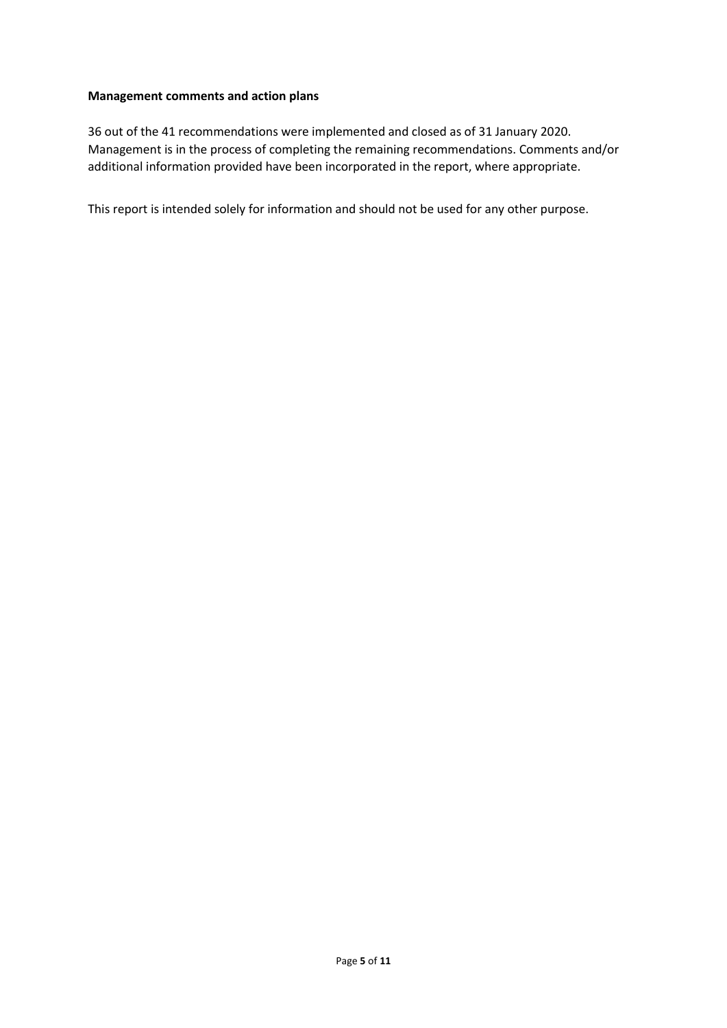#### **Management comments and action plans**

36 out of the 41 recommendations were implemented and closed as of 31 January 2020. Management is in the process of completing the remaining recommendations. Comments and/or additional information provided have been incorporated in the report, where appropriate.

This report is intended solely for information and should not be used for any other purpose.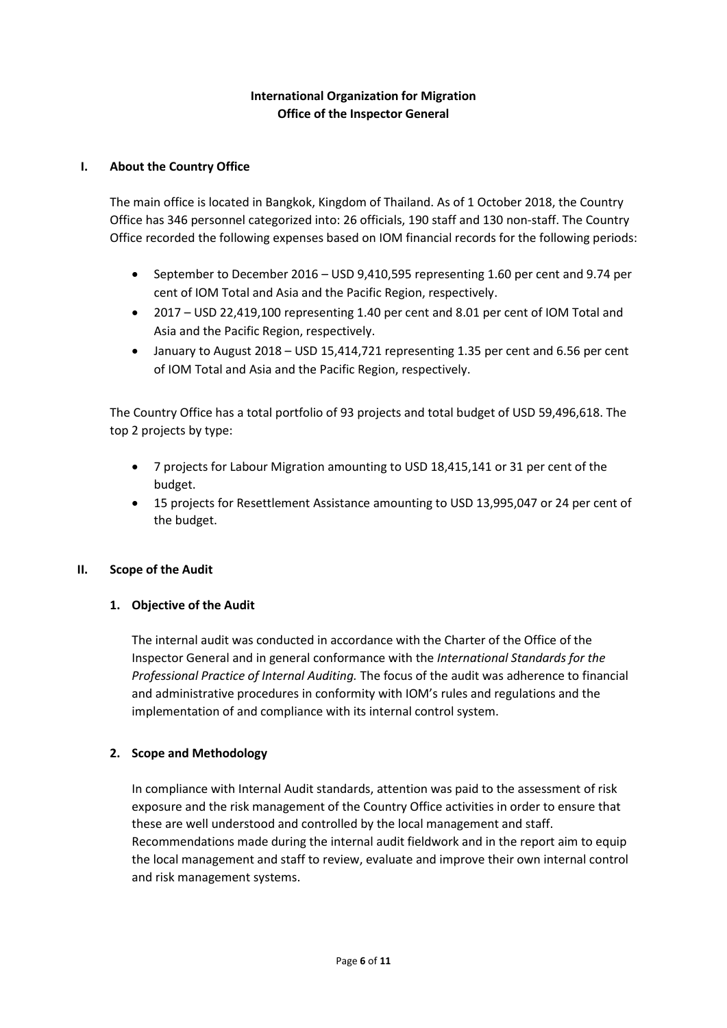## **International Organization for Migration Office of the Inspector General**

### **I. About the Country Office**

The main office is located in Bangkok, Kingdom of Thailand. As of 1 October 2018, the Country Office has 346 personnel categorized into: 26 officials, 190 staff and 130 non-staff. The Country Office recorded the following expenses based on IOM financial records for the following periods:

- September to December 2016 USD 9,410,595 representing 1.60 per cent and 9.74 per cent of IOM Total and Asia and the Pacific Region, respectively.
- 2017 USD 22,419,100 representing 1.40 per cent and 8.01 per cent of IOM Total and Asia and the Pacific Region, respectively.
- January to August 2018 USD 15,414,721 representing 1.35 per cent and 6.56 per cent of IOM Total and Asia and the Pacific Region, respectively.

The Country Office has a total portfolio of 93 projects and total budget of USD 59,496,618. The top 2 projects by type:

- 7 projects for Labour Migration amounting to USD 18,415,141 or 31 per cent of the budget.
- 15 projects for Resettlement Assistance amounting to USD 13,995,047 or 24 per cent of the budget.

#### **II. Scope of the Audit**

## **1. Objective of the Audit**

The internal audit was conducted in accordance with the Charter of the Office of the Inspector General and in general conformance with the *International Standards for the Professional Practice of Internal Auditing.* The focus of the audit was adherence to financial and administrative procedures in conformity with IOM's rules and regulations and the implementation of and compliance with its internal control system.

## **2. Scope and Methodology**

In compliance with Internal Audit standards, attention was paid to the assessment of risk exposure and the risk management of the Country Office activities in order to ensure that these are well understood and controlled by the local management and staff. Recommendations made during the internal audit fieldwork and in the report aim to equip the local management and staff to review, evaluate and improve their own internal control and risk management systems.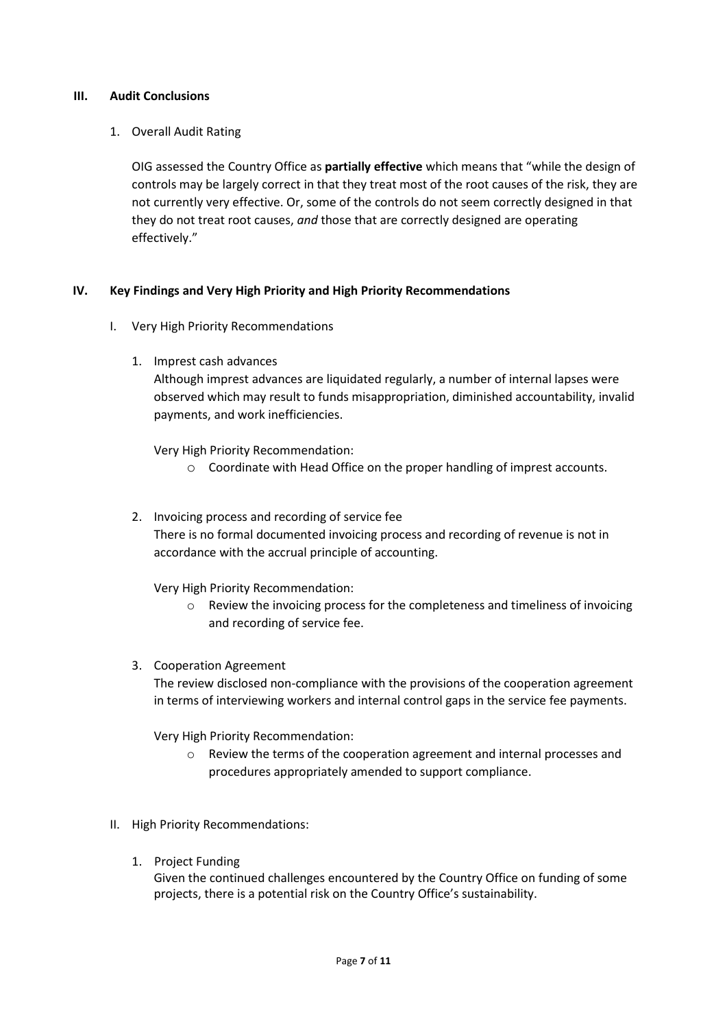#### **III. Audit Conclusions**

### 1. Overall Audit Rating

OIG assessed the Country Office as **partially effective** which means that "while the design of controls may be largely correct in that they treat most of the root causes of the risk, they are not currently very effective. Or, some of the controls do not seem correctly designed in that they do not treat root causes, *and* those that are correctly designed are operating effectively."

### **IV. Key Findings and Very High Priority and High Priority Recommendations**

- I. Very High Priority Recommendations
	- 1. Imprest cash advances

Although imprest advances are liquidated regularly, a number of internal lapses were observed which may result to funds misappropriation, diminished accountability, invalid payments, and work inefficiencies.

Very High Priority Recommendation:

- o Coordinate with Head Office on the proper handling of imprest accounts.
- 2. Invoicing process and recording of service fee There is no formal documented invoicing process and recording of revenue is not in accordance with the accrual principle of accounting.

Very High Priority Recommendation:

- o Review the invoicing process for the completeness and timeliness of invoicing and recording of service fee.
- 3. Cooperation Agreement

The review disclosed non-compliance with the provisions of the cooperation agreement in terms of interviewing workers and internal control gaps in the service fee payments.

Very High Priority Recommendation:

- o Review the terms of the cooperation agreement and internal processes and procedures appropriately amended to support compliance.
- II. High Priority Recommendations:
	- 1. Project Funding

Given the continued challenges encountered by the Country Office on funding of some projects, there is a potential risk on the Country Office's sustainability.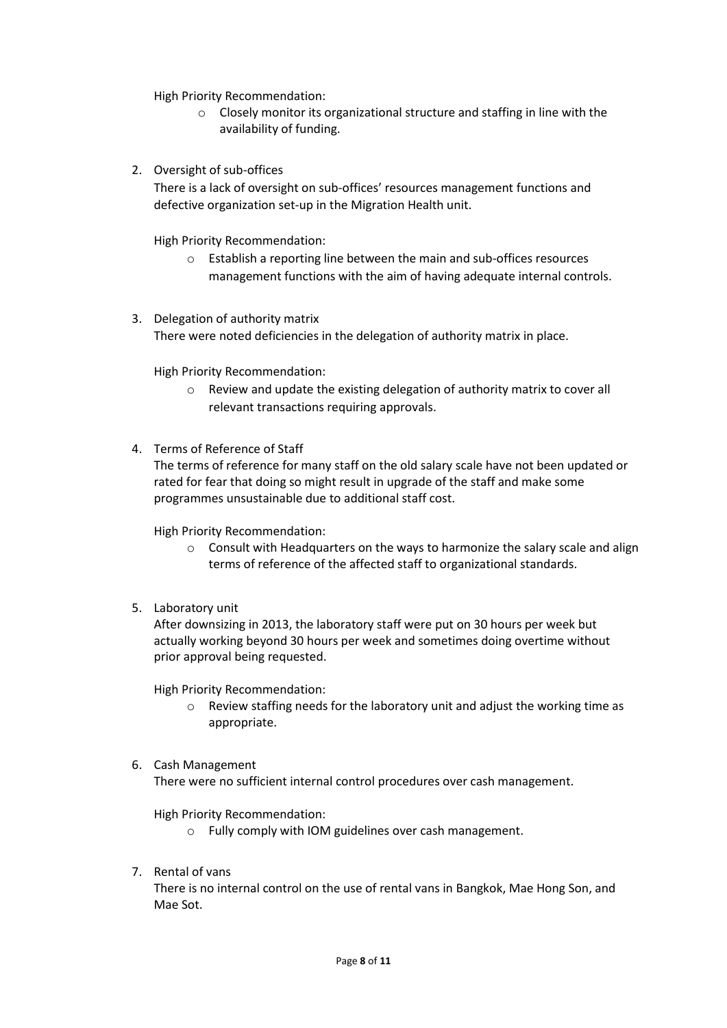High Priority Recommendation:

- o Closely monitor its organizational structure and staffing in line with the availability of funding.
- 2. Oversight of sub-offices

There is a lack of oversight on sub-offices' resources management functions and defective organization set-up in the Migration Health unit.

High Priority Recommendation:

- o Establish a reporting line between the main and sub-offices resources management functions with the aim of having adequate internal controls.
- 3. Delegation of authority matrix There were noted deficiencies in the delegation of authority matrix in place.

High Priority Recommendation:

- o Review and update the existing delegation of authority matrix to cover all relevant transactions requiring approvals.
- 4. Terms of Reference of Staff

The terms of reference for many staff on the old salary scale have not been updated or rated for fear that doing so might result in upgrade of the staff and make some programmes unsustainable due to additional staff cost.

High Priority Recommendation:

- o Consult with Headquarters on the ways to harmonize the salary scale and align terms of reference of the affected staff to organizational standards.
- 5. Laboratory unit

After downsizing in 2013, the laboratory staff were put on 30 hours per week but actually working beyond 30 hours per week and sometimes doing overtime without prior approval being requested.

High Priority Recommendation:

- o Review staffing needs for the laboratory unit and adjust the working time as appropriate.
- 6. Cash Management

There were no sufficient internal control procedures over cash management.

High Priority Recommendation:

- o Fully comply with IOM guidelines over cash management.
- 7. Rental of vans

There is no internal control on the use of rental vans in Bangkok, Mae Hong Son, and Mae Sot.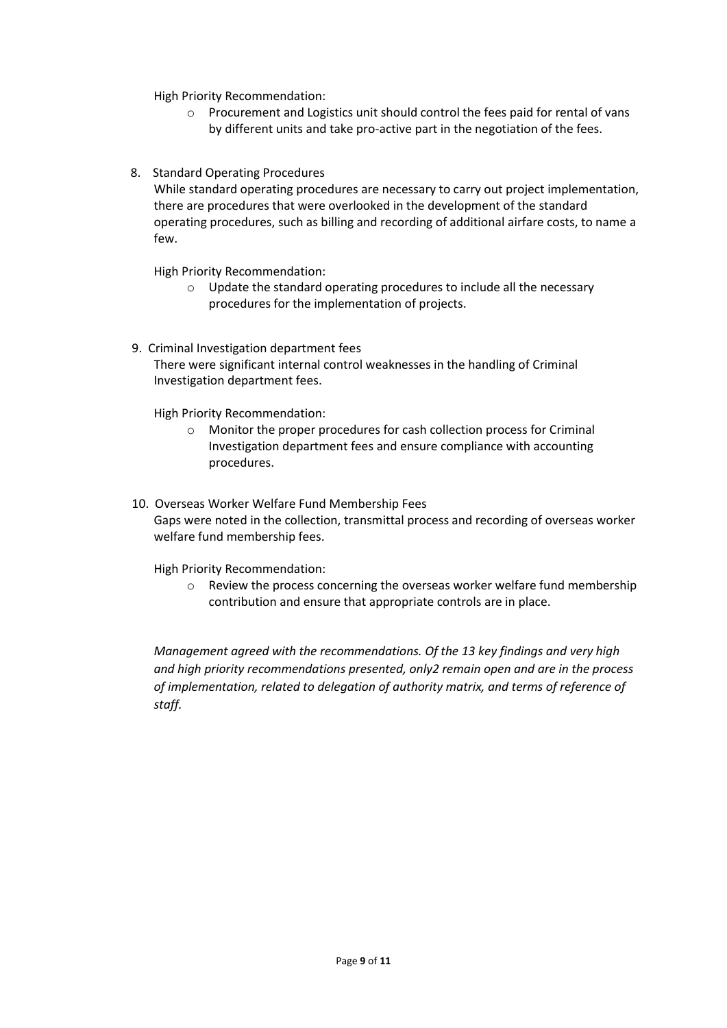High Priority Recommendation:

- o Procurement and Logistics unit should control the fees paid for rental of vans by different units and take pro-active part in the negotiation of the fees.
- 8. Standard Operating Procedures

While standard operating procedures are necessary to carry out project implementation, there are procedures that were overlooked in the development of the standard operating procedures, such as billing and recording of additional airfare costs, to name a few.

High Priority Recommendation:

- o Update the standard operating procedures to include all the necessary procedures for the implementation of projects.
- 9. Criminal Investigation department fees There were significant internal control weaknesses in the handling of Criminal Investigation department fees.

High Priority Recommendation:

- o Monitor the proper procedures for cash collection process for Criminal Investigation department fees and ensure compliance with accounting procedures.
- 10. Overseas Worker Welfare Fund Membership Fees Gaps were noted in the collection, transmittal process and recording of overseas worker welfare fund membership fees.

High Priority Recommendation:

 $\circ$  Review the process concerning the overseas worker welfare fund membership contribution and ensure that appropriate controls are in place.

*Management agreed with the recommendations. Of the 13 key findings and very high and high priority recommendations presented, only2 remain open and are in the process of implementation, related to delegation of authority matrix, and terms of reference of staff.*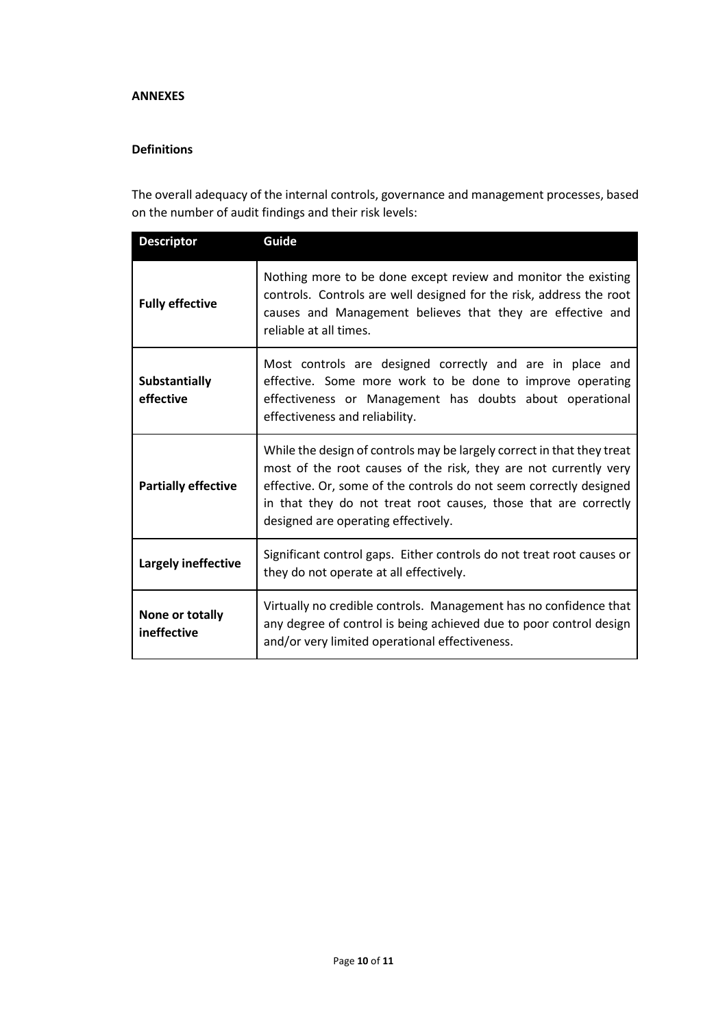#### **ANNEXES**

#### **Definitions**

The overall adequacy of the internal controls, governance and management processes, based on the number of audit findings and their risk levels:

| <b>Descriptor</b>              | Guide                                                                                                                                                                                                                                                                                                                      |  |
|--------------------------------|----------------------------------------------------------------------------------------------------------------------------------------------------------------------------------------------------------------------------------------------------------------------------------------------------------------------------|--|
| <b>Fully effective</b>         | Nothing more to be done except review and monitor the existing<br>controls. Controls are well designed for the risk, address the root<br>causes and Management believes that they are effective and<br>reliable at all times.                                                                                              |  |
| Substantially<br>effective     | Most controls are designed correctly and are in place and<br>effective. Some more work to be done to improve operating<br>effectiveness or Management has doubts about operational<br>effectiveness and reliability.                                                                                                       |  |
| <b>Partially effective</b>     | While the design of controls may be largely correct in that they treat<br>most of the root causes of the risk, they are not currently very<br>effective. Or, some of the controls do not seem correctly designed<br>in that they do not treat root causes, those that are correctly<br>designed are operating effectively. |  |
| <b>Largely ineffective</b>     | Significant control gaps. Either controls do not treat root causes or<br>they do not operate at all effectively.                                                                                                                                                                                                           |  |
| None or totally<br>ineffective | Virtually no credible controls. Management has no confidence that<br>any degree of control is being achieved due to poor control design<br>and/or very limited operational effectiveness.                                                                                                                                  |  |